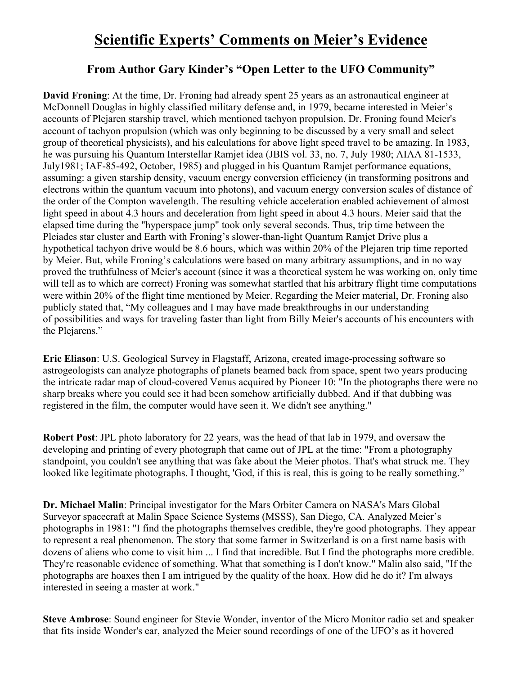## **Scientific Experts' Comments on Meier's Evidence**

## **From Author Gary Kinder's "Open Letter to the UFO Community"**

**David Froning**: At the time, Dr. Froning had already spent 25 years as an astronautical engineer at McDonnell Douglas in highly classified military defense and, in 1979, became interested in Meier's accounts of Plejaren starship travel, which mentioned tachyon propulsion. Dr. Froning found Meier's account of tachyon propulsion (which was only beginning to be discussed by a very small and select group of theoretical physicists), and his calculations for above light speed travel to be amazing. In 1983, he was pursuing his Quantum Interstellar Ramjet idea (JBIS vol. 33, no. 7, July 1980; AIAA 81-1533, July1981; IAF-85-492, October, 1985) and plugged in his Quantum Ramjet performance equations, assuming: a given starship density, vacuum energy conversion efficiency (in transforming positrons and electrons within the quantum vacuum into photons), and vacuum energy conversion scales of distance of the order of the Compton wavelength. The resulting vehicle acceleration enabled achievement of almost light speed in about 4.3 hours and deceleration from light speed in about 4.3 hours. Meier said that the elapsed time during the "hyperspace jump" took only several seconds. Thus, trip time between the Pleiades star cluster and Earth with Froning's slower-than-light Quantum Ramjet Drive plus a hypothetical tachyon drive would be 8.6 hours, which was within 20% of the Plejaren trip time reported by Meier. But, while Froning's calculations were based on many arbitrary assumptions, and in no way proved the truthfulness of Meier's account (since it was a theoretical system he was working on, only time will tell as to which are correct) Froning was somewhat startled that his arbitrary flight time computations were within 20% of the flight time mentioned by Meier. Regarding the Meier material, Dr. Froning also publicly stated that, "My colleagues and I may have made breakthroughs in our understanding of possibilities and ways for traveling faster than light from Billy Meier's accounts of his encounters with the Plejarens."

**Eric Eliason**: U.S. Geological Survey in Flagstaff, Arizona, created image-processing software so astrogeologists can analyze photographs of planets beamed back from space, spent two years producing the intricate radar map of cloud-covered Venus acquired by Pioneer 10: "In the photographs there were no sharp breaks where you could see it had been somehow artificially dubbed. And if that dubbing was registered in the film, the computer would have seen it. We didn't see anything."

**Robert Post**: JPL photo laboratory for 22 years, was the head of that lab in 1979, and oversaw the developing and printing of every photograph that came out of JPL at the time: "From a photography standpoint, you couldn't see anything that was fake about the Meier photos. That's what struck me. They looked like legitimate photographs. I thought, 'God, if this is real, this is going to be really something."

**Dr. Michael Malin**: Principal investigator for the Mars Orbiter Camera on NASA's Mars Global Surveyor spacecraft at Malin Space Science Systems (MSSS), San Diego, CA. Analyzed Meier's photographs in 1981: "I find the photographs themselves credible, they're good photographs. They appear to represent a real phenomenon. The story that some farmer in Switzerland is on a first name basis with dozens of aliens who come to visit him ... I find that incredible. But I find the photographs more credible. They're reasonable evidence of something. What that something is I don't know." Malin also said, "If the photographs are hoaxes then I am intrigued by the quality of the hoax. How did he do it? I'm always interested in seeing a master at work."

**Steve Ambrose**: Sound engineer for Stevie Wonder, inventor of the Micro Monitor radio set and speaker that fits inside Wonder's ear, analyzed the Meier sound recordings of one of the UFO's as it hovered